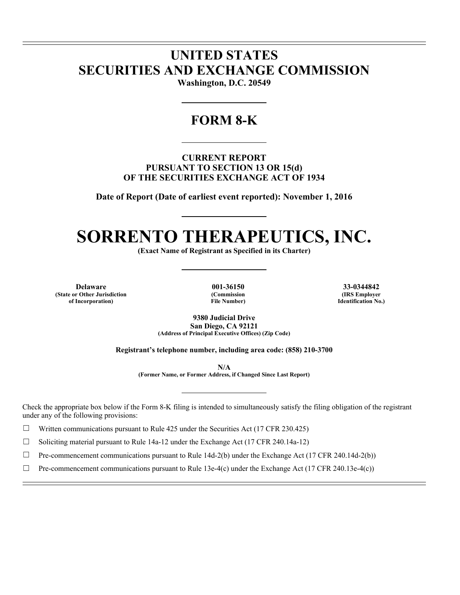## **UNITED STATES SECURITIES AND EXCHANGE COMMISSION**

**Washington, D.C. 20549** 

### **FORM 8-K**

**CURRENT REPORT PURSUANT TO SECTION 13 OR 15(d) OF THE SECURITIES EXCHANGE ACT OF 1934** 

**Date of Report (Date of earliest event reported): November 1, 2016** 

# **SORRENTO THERAPEUTICS, INC.**

**(Exact Name of Registrant as Specified in its Charter)** 

**Delaware 001-36150 33-0344842 (State or Other Jurisdiction of Incorporation)**

l l

 $\overline{a}$ 

**(Commission File Number)**

**(IRS Employer Identification No.)**

**9380 Judicial Drive San Diego, CA 92121 (Address of Principal Executive Offices) (Zip Code)** 

**Registrant's telephone number, including area code: (858) 210-3700** 

**N/A** 

**(Former Name, or Former Address, if Changed Since Last Report)** 

Check the appropriate box below if the Form 8-K filing is intended to simultaneously satisfy the filing obligation of the registrant under any of the following provisions:

 $\Box$  Written communications pursuant to Rule 425 under the Securities Act (17 CFR 230.425)

 $\Box$  Soliciting material pursuant to Rule 14a-12 under the Exchange Act (17 CFR 240.14a-12)

 $\Box$  Pre-commencement communications pursuant to Rule 14d-2(b) under the Exchange Act (17 CFR 240.14d-2(b))

 $\Box$  Pre-commencement communications pursuant to Rule 13e-4(c) under the Exchange Act (17 CFR 240.13e-4(c))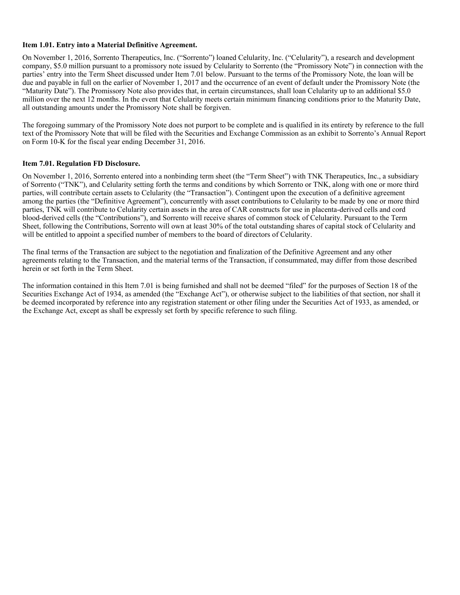#### **Item 1.01. Entry into a Material Definitive Agreement.**

On November 1, 2016, Sorrento Therapeutics, Inc. ("Sorrento") loaned Celularity, Inc. ("Celularity"), a research and development company, \$5.0 million pursuant to a promissory note issued by Celularity to Sorrento (the "Promissory Note") in connection with the parties' entry into the Term Sheet discussed under Item 7.01 below. Pursuant to the terms of the Promissory Note, the loan will be due and payable in full on the earlier of November 1, 2017 and the occurrence of an event of default under the Promissory Note (the "Maturity Date"). The Promissory Note also provides that, in certain circumstances, shall loan Celularity up to an additional \$5.0 million over the next 12 months. In the event that Celularity meets certain minimum financing conditions prior to the Maturity Date, all outstanding amounts under the Promissory Note shall be forgiven.

The foregoing summary of the Promissory Note does not purport to be complete and is qualified in its entirety by reference to the full text of the Promissory Note that will be filed with the Securities and Exchange Commission as an exhibit to Sorrento's Annual Report on Form 10-K for the fiscal year ending December 31, 2016.

#### **Item 7.01. Regulation FD Disclosure.**

On November 1, 2016, Sorrento entered into a nonbinding term sheet (the "Term Sheet") with TNK Therapeutics, Inc., a subsidiary of Sorrento ("TNK"), and Celularity setting forth the terms and conditions by which Sorrento or TNK, along with one or more third parties, will contribute certain assets to Celularity (the "Transaction"). Contingent upon the execution of a definitive agreement among the parties (the "Definitive Agreement"), concurrently with asset contributions to Celularity to be made by one or more third parties, TNK will contribute to Celularity certain assets in the area of CAR constructs for use in placenta-derived cells and cord blood-derived cells (the "Contributions"), and Sorrento will receive shares of common stock of Celularity. Pursuant to the Term Sheet, following the Contributions, Sorrento will own at least 30% of the total outstanding shares of capital stock of Celularity and will be entitled to appoint a specified number of members to the board of directors of Celularity.

The final terms of the Transaction are subject to the negotiation and finalization of the Definitive Agreement and any other agreements relating to the Transaction, and the material terms of the Transaction, if consummated, may differ from those described herein or set forth in the Term Sheet.

The information contained in this Item 7.01 is being furnished and shall not be deemed "filed" for the purposes of Section 18 of the Securities Exchange Act of 1934, as amended (the "Exchange Act"), or otherwise subject to the liabilities of that section, nor shall it be deemed incorporated by reference into any registration statement or other filing under the Securities Act of 1933, as amended, or the Exchange Act, except as shall be expressly set forth by specific reference to such filing.